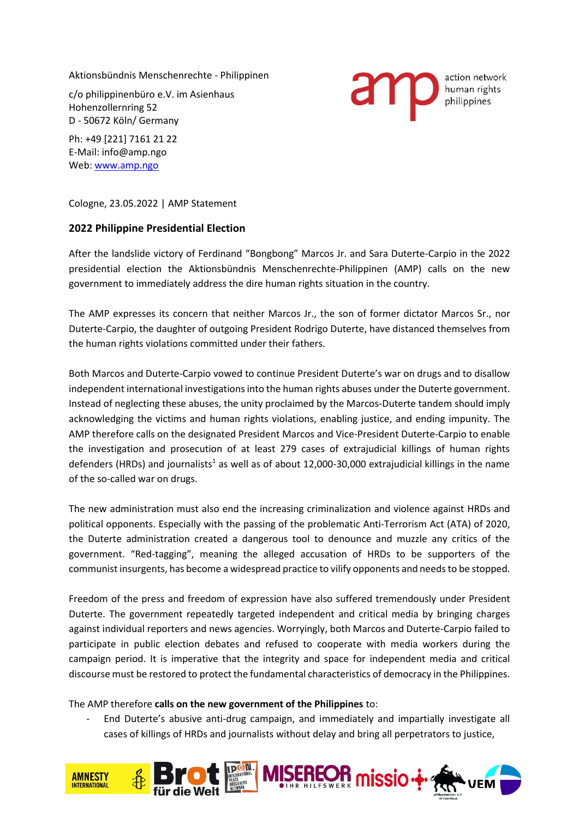Aktionsbündnis Menschenrechte - Philippinen

c/o philippinenbüro e.V. im Asienhaus Hohenzollernring 52 D - 50672 Köln/ Germany

Ph: +49 [221] 7161 21 22 E-Mail: info@amp.ngo Web: [www.amp.ngo](http://www.amp.ngo/)

Cologne, 23.05.2022 | AMP Statement

## **2022 Philippine Presidential Election**

After the landslide victory of Ferdinand "Bongbong" Marcos Jr. and Sara Duterte-Carpio in the 2022 presidential election the Aktionsbündnis Menschenrechte-Philippinen (AMP) calls on the new government to immediately address the dire human rights situation in the country.

The AMP expresses its concern that neither Marcos Jr., the son of former dictator Marcos Sr., nor Duterte-Carpio, the daughter of outgoing President Rodrigo Duterte, have distanced themselves from the human rights violations committed under their fathers.

Both Marcos and Duterte-Carpio vowed to continue President Duterte's war on drugs and to disallow independent international investigations into the human rights abuses under the Duterte government. Instead of neglecting these abuses, the unity proclaimed by the Marcos-Duterte tandem should imply acknowledging the victims and human rights violations, enabling justice, and ending impunity. The AMP therefore calls on the designated President Marcos and Vice-President Duterte-Carpio to enable the investigation and prosecution of at least 279 cases of extrajudicial killings of human rights defenders (HRDs) and journalists<sup>1</sup> as well as of about 12,000-30,000 extrajudicial killings in the name of the so-called war on drugs.

The new administration must also end the increasing criminalization and violence against HRDs and political opponents. Especially with the passing of the problematic Anti-Terrorism Act (ATA) of 2020, the Duterte administration created a dangerous tool to denounce and muzzle any critics of the government. "Red-tagging", meaning the alleged accusation of HRDs to be supporters of the communist insurgents, has become a widespread practice to vilify opponents and needs to be stopped.

Freedom of the press and freedom of expression have also suffered tremendously under President Duterte. The government repeatedly targeted independent and critical media by bringing charges against individual reporters and news agencies. Worryingly, both Marcos and Duterte-Carpio failed to participate in public election debates and refused to cooperate with media workers during the campaign period. It is imperative that the integrity and space for independent media and critical discourse must be restored to protect the fundamental characteristics of democracy in the Philippines.

The AMP therefore **calls on the new government of the Philippines** to:

- End Duterte's abusive anti-drug campaign, and immediately and impartially investigate all cases of killings of HRDs and journalists without delay and bring all perpetrators to justice,



action network human rights philippines